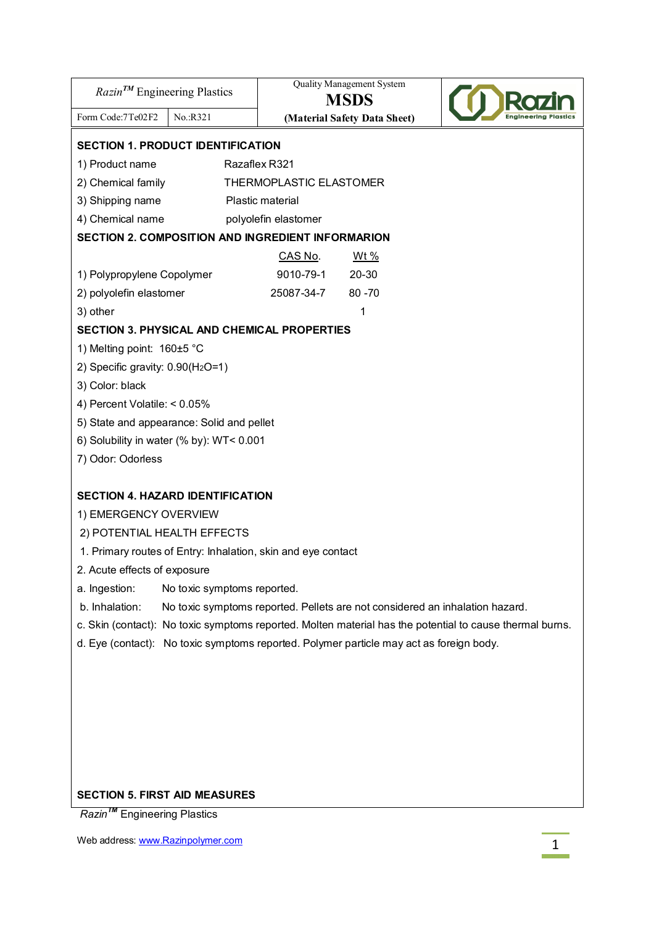| $Razin^{TM}$ Engineering Plastics                                                                                                                                                        |                                                   | <b>Quality Management System</b><br><b>MSDS</b> |  |  |  |  |  |
|------------------------------------------------------------------------------------------------------------------------------------------------------------------------------------------|---------------------------------------------------|-------------------------------------------------|--|--|--|--|--|
| Form Code: 7Te02F2<br>No.:R321                                                                                                                                                           |                                                   | (Material Safety Data Sheet)                    |  |  |  |  |  |
| <b>SECTION 1. PRODUCT IDENTIFICATION</b>                                                                                                                                                 |                                                   |                                                 |  |  |  |  |  |
| 1) Product name                                                                                                                                                                          | Razaflex R321                                     |                                                 |  |  |  |  |  |
| 2) Chemical family                                                                                                                                                                       | THERMOPLASTIC ELASTOMER                           |                                                 |  |  |  |  |  |
| 3) Shipping name<br>Plastic material                                                                                                                                                     |                                                   |                                                 |  |  |  |  |  |
| 4) Chemical name                                                                                                                                                                         | polyolefin elastomer                              |                                                 |  |  |  |  |  |
|                                                                                                                                                                                          | SECTION 2. COMPOSITION AND INGREDIENT INFORMARION |                                                 |  |  |  |  |  |
|                                                                                                                                                                                          | CAS No.                                           | <u>Wt %</u>                                     |  |  |  |  |  |
| 1) Polypropylene Copolymer                                                                                                                                                               | 9010-79-1                                         | 20-30                                           |  |  |  |  |  |
| 2) polyolefin elastomer                                                                                                                                                                  | 25087-34-7                                        | $80 - 70$                                       |  |  |  |  |  |
| 3) other                                                                                                                                                                                 |                                                   | 1                                               |  |  |  |  |  |
| <b>SECTION 3. PHYSICAL AND CHEMICAL PROPERTIES</b>                                                                                                                                       |                                                   |                                                 |  |  |  |  |  |
| 1) Melting point: 160±5 °C                                                                                                                                                               |                                                   |                                                 |  |  |  |  |  |
| 2) Specific gravity: 0.90(H <sub>2</sub> O=1)                                                                                                                                            |                                                   |                                                 |  |  |  |  |  |
| 3) Color: black                                                                                                                                                                          |                                                   |                                                 |  |  |  |  |  |
| 4) Percent Volatile: < 0.05%                                                                                                                                                             |                                                   |                                                 |  |  |  |  |  |
| 5) State and appearance: Solid and pellet                                                                                                                                                |                                                   |                                                 |  |  |  |  |  |
| 6) Solubility in water (% by): WT< 0.001                                                                                                                                                 |                                                   |                                                 |  |  |  |  |  |
| 7) Odor: Odorless                                                                                                                                                                        |                                                   |                                                 |  |  |  |  |  |
|                                                                                                                                                                                          |                                                   |                                                 |  |  |  |  |  |
| <b>SECTION 4. HAZARD IDENTIFICATION</b>                                                                                                                                                  |                                                   |                                                 |  |  |  |  |  |
| 1) EMERGENCY OVERVIEW                                                                                                                                                                    |                                                   |                                                 |  |  |  |  |  |
| 2) POTENTIAL HEALTH EFFECTS                                                                                                                                                              |                                                   |                                                 |  |  |  |  |  |
| 1. Primary routes of Entry: Inhalation, skin and eye contact                                                                                                                             |                                                   |                                                 |  |  |  |  |  |
| 2. Acute effects of exposure                                                                                                                                                             |                                                   |                                                 |  |  |  |  |  |
| a. Ingestion:<br>No toxic symptoms reported.<br>b. Inhalation:                                                                                                                           |                                                   |                                                 |  |  |  |  |  |
| No toxic symptoms reported. Pellets are not considered an inhalation hazard.<br>c. Skin (contact): No toxic symptoms reported. Molten material has the potential to cause thermal burns. |                                                   |                                                 |  |  |  |  |  |
| d. Eye (contact): No toxic symptoms reported. Polymer particle may act as foreign body.                                                                                                  |                                                   |                                                 |  |  |  |  |  |
|                                                                                                                                                                                          |                                                   |                                                 |  |  |  |  |  |
|                                                                                                                                                                                          |                                                   |                                                 |  |  |  |  |  |
|                                                                                                                                                                                          |                                                   |                                                 |  |  |  |  |  |
|                                                                                                                                                                                          |                                                   |                                                 |  |  |  |  |  |
|                                                                                                                                                                                          |                                                   |                                                 |  |  |  |  |  |
|                                                                                                                                                                                          |                                                   |                                                 |  |  |  |  |  |
|                                                                                                                                                                                          |                                                   |                                                 |  |  |  |  |  |
| <b>SECTION 5. FIRST AID MEASURES</b>                                                                                                                                                     |                                                   |                                                 |  |  |  |  |  |
| Razin <sup>™</sup> Engineering Plastics                                                                                                                                                  |                                                   |                                                 |  |  |  |  |  |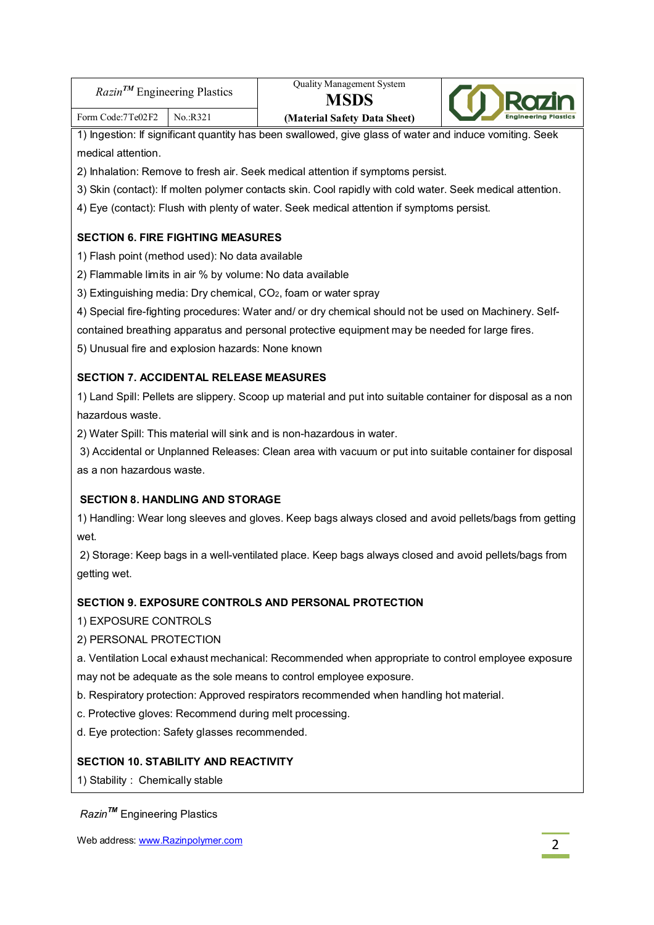| $Razin^{TM}$ Engineering Plastics |          | Quality Management System<br><b>MSDS</b> | <b>Rozin</b>                |
|-----------------------------------|----------|------------------------------------------|-----------------------------|
| Form Code:7Te02F2                 | No.:R321 | (Material Safety Data Sheet)             | <b>Engineering Plastics</b> |

1) Ingestion: If significant quantity has been swallowed, give glass of water and induce vomiting. Seek medical attention.

2) Inhalation: Remove to fresh air. Seek medical attention if symptoms persist.

- 3) Skin (contact): If molten polymer contacts skin. Cool rapidly with cold water. Seek medical attention.
- 4) Eye (contact): Flush with plenty of water. Seek medical attention if symptoms persist.

## **SECTION 6. FIRE FIGHTING MEASURES**

- 1) Flash point (method used): No data available
- 2) Flammable limits in air % by volume: No data available
- 3) Extinguishing media: Dry chemical, CO2, foam or water spray
- 4) Special fire-fighting procedures: Water and/ or dry chemical should not be used on Machinery. Self-

contained breathing apparatus and personal protective equipment may be needed for large fires.

5) Unusual fire and explosion hazards: None known

## **SECTION 7. ACCIDENTAL RELEASE MEASURES**

1) Land Spill: Pellets are slippery. Scoop up material and put into suitable container for disposal as a non hazardous waste.

2) Water Spill: This material will sink and is non-hazardous in water.

3) Accidental or Unplanned Releases: Clean area with vacuum or put into suitable container for disposal as a non hazardous waste.

## **SECTION 8. HANDLING AND STORAGE**

1) Handling: Wear long sleeves and gloves. Keep bags always closed and avoid pellets/bags from getting wet.

2) Storage: Keep bags in a well-ventilated place. Keep bags always closed and avoid pellets/bags from getting wet.

### **SECTION 9. EXPOSURE CONTROLS AND PERSONAL PROTECTION**

1) EXPOSURE CONTROLS

### 2) PERSONAL PROTECTION

a. Ventilation Local exhaust mechanical: Recommended when appropriate to control employee exposure may not be adequate as the sole means to control employee exposure.

b. Respiratory protection: Approved respirators recommended when handling hot material.

- c. Protective gloves: Recommend during melt processing.
- d. Eye protection: Safety glasses recommended.

### **SECTION 10. STABILITY AND REACTIVITY**

1) Stability : Chemically stable

*RazinTM* Engineering Plastics